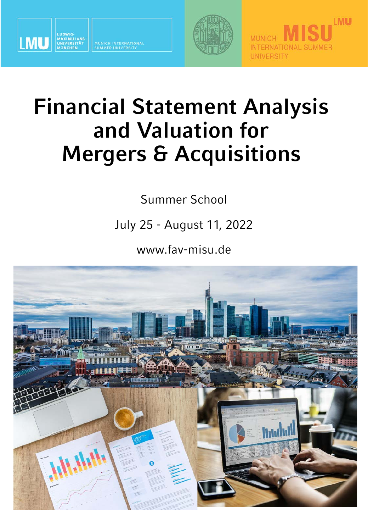

MUNICH INTERNATIONA<br>SUMMER UNIVERSITY





## **Financial Statement Analysis and Valuation for Mergers & Acquisitions**

Summer School

July 25 - August 11, 2022

www.fav-misu.de

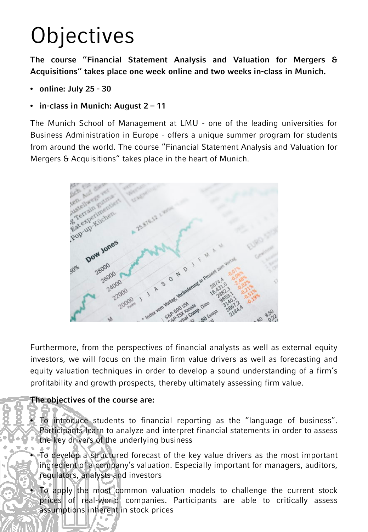# **Objectives**

**The course "Financial Statement Analysis and Valuation for Mergers & Acquisitions" takes place one week online and two weeks in-class in Munich.**

- **online: July 25 - 30**
- **in-class in Munich: August 2 – 11**

The Munich School of Management at LMU - one of the leading universities for Business Administration in Europe - offers a unique summer program for students from around the world. The course "Financial Statement Analysis and Valuation for Mergers & Acquisitions" takes place in the heart of Munich.



Furthermore, from the perspectives of financial analysts as well as external equity investors, we will focus on the main firm value drivers as well as forecasting and equity valuation techniques in order to develop a sound understanding of a firm's profitability and growth prospects, thereby ultimately assessing firm value.

#### **The objectives of the course are:**

• To introduce students to financial reporting as the "language of business". Participants learn to analyze and interpret financial statements in order to assess the key drivers of the underlying business

• To develop a structured forecast of the key value drivers as the most important ingredient of a company's valuation. Especially important for managers, auditors, regulators, analysts and investors

• To apply the most common valuation models to challenge the current stock prices of real-world companies. Participants are able to critically assess assumptions inherent in stock prices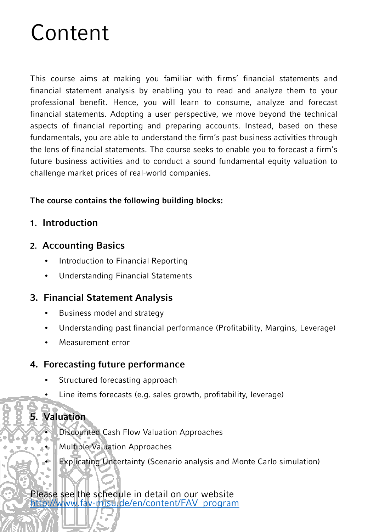## Content

This course aims at making you familiar with firms' financial statements and financial statement analysis by enabling you to read and analyze them to your professional benefit. Hence, you will learn to consume, analyze and forecast financial statements. Adopting a user perspective, we move beyond the technical aspects of financial reporting and preparing accounts. Instead, based on these fundamentals, you are able to understand the firm's past business activities through the lens of financial statements. The course seeks to enable you to forecast a firm's future business activities and to conduct a sound fundamental equity valuation to challenge market prices of real-world companies.

#### **The course contains the following building blocks:**

**1. Introduction**

#### **2. Accounting Basics**

- Introduction to Financial Reporting
- Understanding Financial Statements

### **3. Financial Statement Analysis**

- Business model and strategy
- Understanding past financial performance (Profitability, Margins, Leverage)
- Measurement error

### **4. Forecasting future performance**

- Structured forecasting approach
- Line items forecasts (e.g. sales growth, profitability, leverage)

### **5. Valuation**

- Discounted Cash Flow Valuation Approaches
- **Multiple Valuation Approaches**
- **Explicating Uncertainty (Scenario analysis and Monte Carlo simulation)**

Please see the schedule in detail on our website [http://www.fav-misu.de/en/content/FAV\\_program](http://www.fav-misu.de/en/content/FAV_program)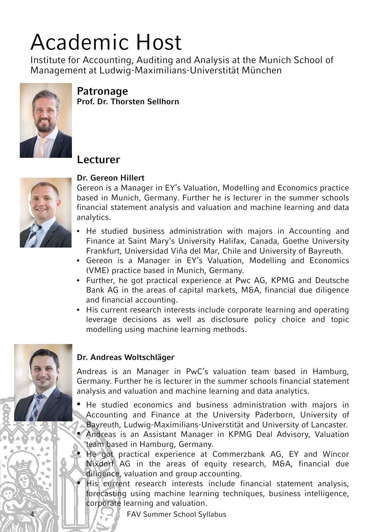## Academic Host

Institute for Accounting, Auditing and Analysis at the Munich School of Management at Ludwig-Maximilians-Universtität München



**Patronage Prof. Dr. Thorsten Sellhorn**

### **Lecturer**



#### **Dr. Gereon Hillert**

Gereon is a Manager in EY's Valuation, Modelling and Economics practice based in Munich, Germany. Further he is lecturer in the summer schools financial statement analysis and valuation and machine learning and data analytics.

- He studied business administration with majors in Accounting and Finance at Saint Mary's University Halifax, Canada, Goethe University Frankfurt, Universidad Viña del Mar, Chile and University of Bayreuth.
- Gereon is a Manager in EY's Valuation, Modelling and Economics (VME) practice based in Munich, Germany.
- Further, he got practical experience at Pwc AG, KPMG and Deutsche Bank AG in the areas of capital markets, M&A, financial due diligence and financial accounting.
- His current research interests include corporate learning and operating leverage decisions as well as disclosure policy choice and topic modelling using machine learning methods.



#### **Dr. Andreas Woltschläger**

Andreas is an Manager in PwC's valuation team based in Hamburg, Germany. Further he is lecturer in the summer schools financial statement analysis and valuation and machine learning and data analytics.

- He studied economics and business administration with majors in Accounting and Finance at the University Paderborn, University of Bayreuth, Ludwig-Maximilians-Universtität and University of Lancaster. • Andreas is an Assistant Manager in KPMG Deal Advisory, Valuation
- team based in Hamburg, Germany.
- He got practical experience at Commerzbank AG, EY and Wincor Nixdorf AG in the areas of equity research, M&A, financial due diligence, valuation and group accounting.
- His current research interests include financial statement analysis, forecasting using machine learning techniques, business intelligence, corporate learning and valuation.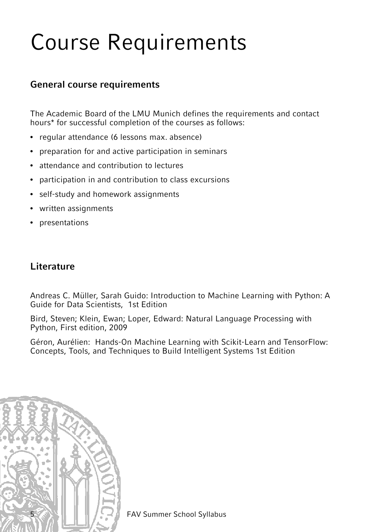## Course Requirements

#### **General course requirements**

The Academic Board of the LMU Munich defines the requirements and contact hours\* for successful completion of the courses as follows:

- regular attendance (6 lessons max. absence)
- preparation for and active participation in seminars
- attendance and contribution to lectures
- participation in and contribution to class excursions
- self-study and homework assignments
- written assignments
- presentations

### **Literature**

Andreas C. Müller, Sarah Guido: Introduction to Machine Learning with Python: A Guide for Data Scientists, 1st Edition

Bird, Steven; Klein, Ewan; Loper, Edward: Natural Language Processing with Python, First edition, 2009

Géron, Aurélien: Hands-On Machine Learning with Scikit-Learn and TensorFlow: Concepts, Tools, and Techniques to Build Intelligent Systems 1st Edition

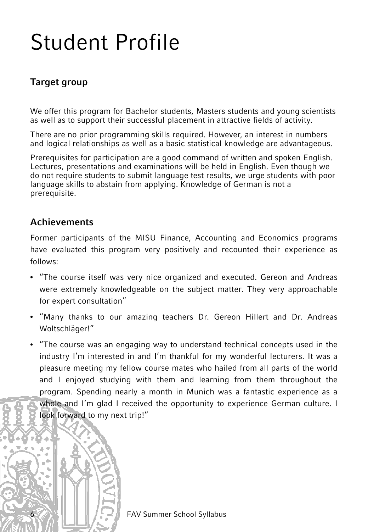## Student Profile

### **Target group**

We offer this program for Bachelor students, Masters students and young scientists as well as to support their successful placement in attractive fields of activity.

There are no prior programming skills required. However, an interest in numbers and logical relationships as well as a basic statistical knowledge are advantageous.

Prerequisites for participation are a good command of written and spoken English. Lectures, presentations and examinations will be held in English. Even though we do not require students to submit language test results, we urge students with poor language skills to abstain from applying. Knowledge of German is not a prerequisite.

#### **Achievements**

Former participants of the MISU Finance, Accounting and Economics programs have evaluated this program very positively and recounted their experience as follows:

- "The course itself was very nice organized and executed. Gereon and Andreas were extremely knowledgeable on the subject matter. They very approachable for expert consultation"
- "Many thanks to our amazing teachers Dr. Gereon Hillert and Dr. Andreas Woltschläger!"
- "The course was an engaging way to understand technical concepts used in the industry I'm interested in and I'm thankful for my wonderful lecturers. It was a pleasure meeting my fellow course mates who hailed from all parts of the world and I enjoyed studying with them and learning from them throughout the program. Spending nearly a month in Munich was a fantastic experience as a whole and I'm glad I received the opportunity to experience German culture. I look forward to my next trip!"

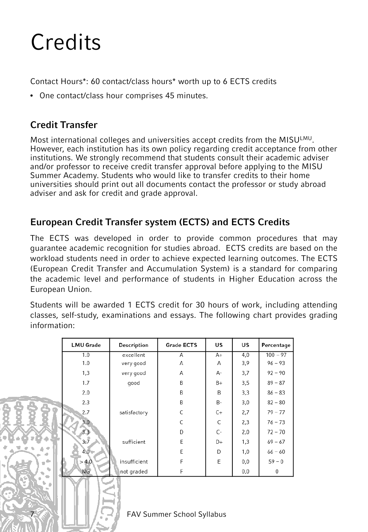## **Credits**

Contact Hours\*: 60 contact/class hours\* worth up to 6 ECTS credits

• One contact/class hour comprises 45 minutes.

### **Credit Transfer**

Most international colleges and universities accept credits from the MISULMU. However, each institution has its own policy regarding credit acceptance from other institutions. We strongly recommend that students consult their academic adviser and/or professor to receive credit transfer approval before applying to the MISU Summer Academy. Students who would like to transfer credits to their home universities should print out all documents contact the professor or study abroad adviser and ask for credit and grade approval.

### **European Credit Transfer system (ECTS) and ECTS Credits**

The ECTS was developed in order to provide common procedures that may guarantee academic recognition for studies abroad. ECTS credits are based on the workload students need in order to achieve expected learning outcomes. The ECTS (European Credit Transfer and Accumulation System) is a standard for comparing the academic level and performance of students in Higher Education across the European Union.

Students will be awarded 1 ECTS credit for 30 hours of work, including attending classes, self-study, examinations and essays. The following chart provides grading information:

|    | <b>LMU Grade</b> | <b>Description</b> | <b>Grade ECTS</b> | <b>US</b> | US  | Percentage |
|----|------------------|--------------------|-------------------|-----------|-----|------------|
|    | 1.0              | excellent          | A                 | A+        | 4,0 | $100 - 97$ |
|    | 1.0              | very good          | Α                 | Α         | 3,9 | $96 - 93$  |
|    | 1,3              | very good          | A                 | А-        | 3,7 | $92 - 90$  |
|    | 1.7              | good               | B                 | $B+$      | 3,5 | $89 - 87$  |
|    | 2.0              |                    | B                 | B         | 3,3 | $86 - 83$  |
|    | 2.3              |                    | B                 | <b>B-</b> | 3,0 | $82 - 80$  |
|    | 2.7              | satisfactory       | C                 | $C+$      | 2,7 | $79 - 77$  |
|    | $3.0^{\circ}$    |                    | C                 | C         | 2,3 | $76 - 73$  |
|    | 3.3              |                    | D                 | $C -$     | 2,0 | $72 - 70$  |
|    | 3.7              | sufficient         | E                 | D+        | 1,3 | $69 - 67$  |
|    | 4.0 <sub>1</sub> |                    | E                 | D         | 1,0 | $66 - 60$  |
| ò, | > 4.0            | insufficient       | F                 | E         | 0,0 | $59 - 0$   |
| ۷  | NG               | not graded         | F                 |           | 0,0 | 0          |
|    |                  |                    |                   |           |     |            |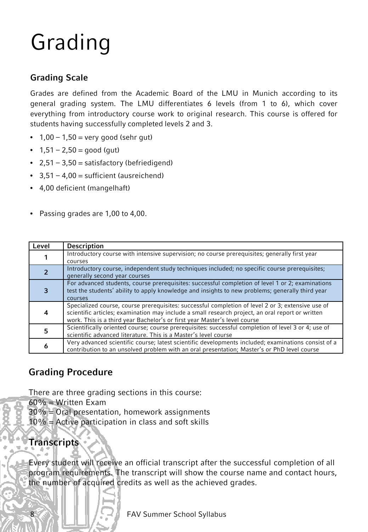# Grading

### **Grading Scale**

Grades are defined from the Academic Board of the LMU in Munich according to its general grading system. The LMU differentiates 6 levels (from 1 to 6), which cover everything from introductory course work to original research. This course is offered for students having successfully completed levels 2 and 3.

- $1,00 1,50 =$  very good (sehr gut)
- $1,51 2,50 = \text{good}$  (gut)
- $2,51 3,50 =$  satisfactory (befriedigend)
- $3,51 4,00 =$  sufficient (ausreichend)
- 4,00 deficient (mangelhaft)
- Passing grades are 1,00 to 4,00.

| Level | <b>Description</b>                                                                                  |
|-------|-----------------------------------------------------------------------------------------------------|
|       | Introductory course with intensive supervision; no course prerequisites; generally first year       |
|       | courses                                                                                             |
|       | Introductory course, independent study techniques included; no specific course prerequisites;       |
|       | generally second year courses                                                                       |
|       | For advanced students, course prerequisites: successful completion of level 1 or 2; examinations    |
| 3     | test the students' ability to apply knowledge and insights to new problems; generally third year    |
|       | courses                                                                                             |
|       | Specialized course, course prerequisites: successful completion of level 2 or 3; extensive use of   |
| 4     | scientific articles; examination may include a small research project, an oral report or written    |
|       | work. This is a third year Bachelor's or first year Master's level course                           |
| 5     | Scientifically oriented course; course prerequisites: successful completion of level 3 or 4; use of |
|       | scientific advanced literature. This is a Master's level course                                     |
|       | Very advanced scientific course; latest scientific developments included; examinations consist of a |
| 6     | contribution to an unsolved problem with an oral presentation; Master's or PhD level course         |

### **Grading Procedure**

There are three grading sections in this course:

 $60\%$  = Written Exam

30% = Oral presentation, homework assignments

 $10\%$  = Active participation in class and soft skills

### **Transcripts**

Every student will receive an official transcript after the successful completion of all program requirements. The transcript will show the course name and contact hours, the number of acquired credits as well as the achieved grades.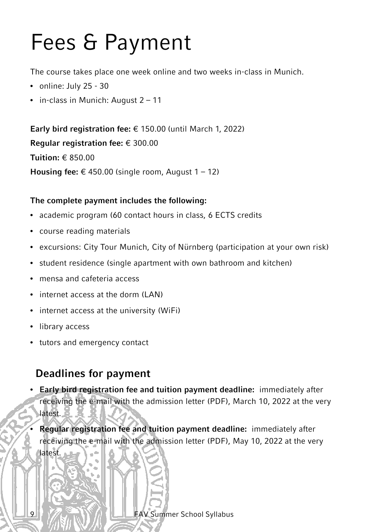## Fees & Payment

The course takes place one week online and two weeks in-class in Munich.

- online: July 25 30
- in-class in Munich: August 2 11

**Early bird registration fee:** € 150.00 (until March 1, 2022) **Regular registration fee:** € 300.00 **Tuition:** € 850.00 **Housing fee:**  $€$  450.00 (single room, August  $1 - 12$ )

#### **The complete payment includes the following:**

- academic program (60 contact hours in class, 6 ECTS credits
- course reading materials
- excursions: City Tour Munich, City of Nürnberg (participation at your own risk)
- student residence (single apartment with own bathroom and kitchen)
- mensa and cafeteria access
- internet access at the dorm (LAN)
- internet access at the university (WiFi)
- library access
- tutors and emergency contact

### **Deadlines for payment**

• **Early bird registration fee and tuition payment deadline:** immediately after receiving the e-mail with the admission letter (PDF), March 10, 2022 at the very latest.

• **Regular registration fee and tuition payment deadline:** immediately after receiving the e-mail with the admission letter (PDF), May 10, 2022 at the very latest.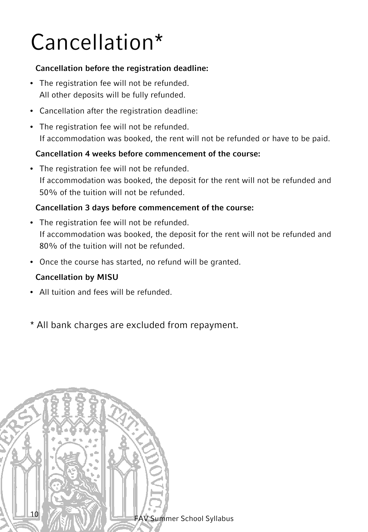## Cancellation\*

#### **Cancellation before the registration deadline:**

- The registration fee will not be refunded. All other deposits will be fully refunded.
- Cancellation after the registration deadline:
- The registration fee will not be refunded. If accommodation was booked, the rent will not be refunded or have to be paid.

#### **Cancellation 4 weeks before commencement of the course:**

• The registration fee will not be refunded. If accommodation was booked, the deposit for the rent will not be refunded and 50% of the tuition will not be refunded.

#### **Cancellation 3 days before commencement of the course:**

- The registration fee will not be refunded. If accommodation was booked, the deposit for the rent will not be refunded and 80% of the tuition will not be refunded.
- Once the course has started, no refund will be granted.

#### **Cancellation by MISU**

- All tuition and fees will be refunded.
- \* All bank charges are excluded from repayment.

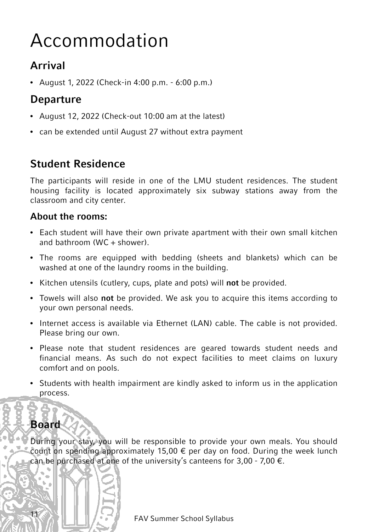## Accommodation

### **Arrival**

• August 1, 2022 (Check-in 4:00 p.m. - 6:00 p.m.)

### **Departure**

- August 12, 2022 (Check-out 10:00 am at the latest)
- can be extended until August 27 without extra payment

### **Student Residence**

The participants will reside in one of the LMU student residences. The student housing facility is located approximately six subway stations away from the classroom and city center.

### **About the rooms:**

- Each student will have their own private apartment with their own small kitchen and bathroom (WC  $+$  shower).
- The rooms are equipped with bedding (sheets and blankets) which can be washed at one of the laundry rooms in the building.
- Kitchen utensils (cutlery, cups, plate and pots) will **not** be provided.
- Towels will also **not** be provided. We ask you to acquire this items according to your own personal needs.
- Internet access is available via Ethernet (LAN) cable. The cable is not provided. Please bring our own.
- Please note that student residences are geared towards student needs and financial means. As such do not expect facilities to meet claims on luxury comfort and on pools.
- Students with health impairment are kindly asked to inform us in the application process.

### **Board**

During your stay, you will be responsible to provide your own meals. You should count on spending approximately 15,00  $\epsilon$  per day on food. During the week lunch can be purchased at one of the university's canteens for 3,00 - 7,00  $\epsilon$ .

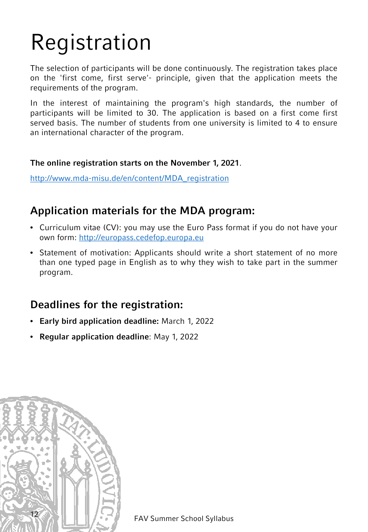# Registration

The selection of participants will be done continuously. The registration takes place on the 'first come, first serve'- principle, given that the application meets the requirements of the program.

In the interest of maintaining the program's high standards, the number of participants will be limited to 30. The application is based on a first come first served basis. The number of students from one university is limited to 4 to ensure an international character of the program.

#### **The online registration starts on the November 1, 2021**.

[http://www.mda-misu.de/en/content/MDA\\_registration](http://www.mda-misu.de/en/content/MDA_registration)

### **Application materials for the MDA program:**

- Curriculum vitae (CV): you may use the Euro Pass format if you do not have your own form: [http://europass.cedefop.europa.eu](http://europass.cedefop.europa.eu/)
- Statement of motivation: Applicants should write a short statement of no more than one typed page in English as to why they wish to take part in the summer program.

### **Deadlines for the registration:**

- **Early bird application deadline:** March 1, 2022
- **Regular application deadline**: May 1, 2022